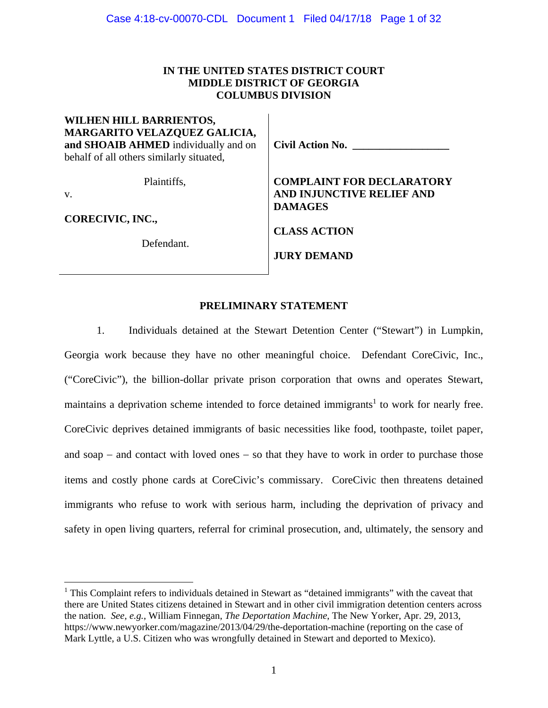# **IN THE UNITED STATES DISTRICT COURT MIDDLE DISTRICT OF GEORGIA COLUMBUS DIVISION**

**WILHEN HILL BARRIENTOS, MARGARITO VELAZQUEZ GALICIA, and SHOAIB AHMED** individually and on behalf of all others similarly situated,

Plaintiffs,

v.

 $\overline{a}$ 

**CORECIVIC, INC.,** 

Defendant.

**Civil Action No. \_\_\_\_\_\_\_\_\_\_\_\_\_\_\_\_\_\_** 

**COMPLAINT FOR DECLARATORY AND INJUNCTIVE RELIEF AND DAMAGES** 

**CLASS ACTION** 

**JURY DEMAND** 

# **PRELIMINARY STATEMENT**

1. Individuals detained at the Stewart Detention Center ("Stewart") in Lumpkin, Georgia work because they have no other meaningful choice. Defendant CoreCivic, Inc., ("CoreCivic"), the billion-dollar private prison corporation that owns and operates Stewart, maintains a deprivation scheme intended to force detained immigrants<sup>1</sup> to work for nearly free. CoreCivic deprives detained immigrants of basic necessities like food, toothpaste, toilet paper, and soap  $-$  and contact with loved ones  $-$  so that they have to work in order to purchase those items and costly phone cards at CoreCivic's commissary. CoreCivic then threatens detained immigrants who refuse to work with serious harm, including the deprivation of privacy and safety in open living quarters, referral for criminal prosecution, and, ultimately, the sensory and

<sup>&</sup>lt;sup>1</sup> This Complaint refers to individuals detained in Stewart as "detained immigrants" with the caveat that there are United States citizens detained in Stewart and in other civil immigration detention centers across the nation. *See, e.g.*, William Finnegan, *The Deportation Machine*, The New Yorker, Apr. 29, 2013, https://www.newyorker.com/magazine/2013/04/29/the-deportation-machine (reporting on the case of Mark Lyttle, a U.S. Citizen who was wrongfully detained in Stewart and deported to Mexico).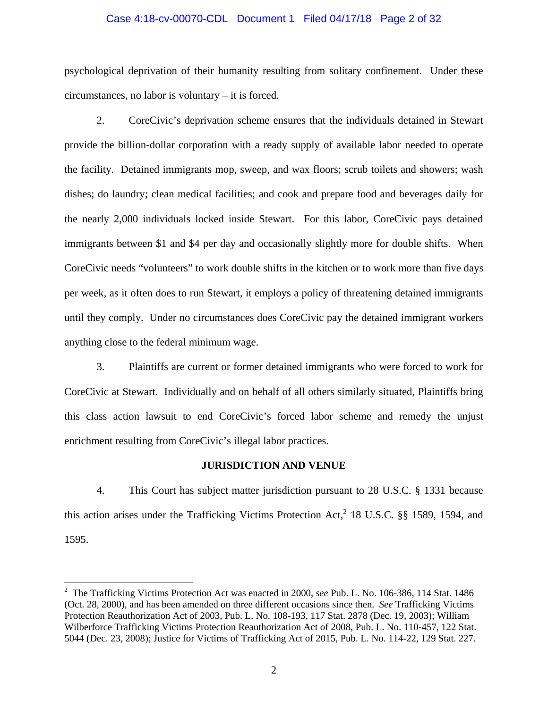#### Case 4:18-cv-00070-CDL Document 1 Filed 04/17/18 Page 2 of 32

psychological deprivation of their humanity resulting from solitary confinement. Under these circumstances, no labor is voluntary – it is forced.

2. CoreCivic's deprivation scheme ensures that the individuals detained in Stewart provide the billion-dollar corporation with a ready supply of available labor needed to operate the facility. Detained immigrants mop, sweep, and wax floors; scrub toilets and showers; wash dishes; do laundry; clean medical facilities; and cook and prepare food and beverages daily for the nearly 2,000 individuals locked inside Stewart. For this labor, CoreCivic pays detained immigrants between \$1 and \$4 per day and occasionally slightly more for double shifts. When CoreCivic needs "volunteers" to work double shifts in the kitchen or to work more than five days per week, as it often does to run Stewart, it employs a policy of threatening detained immigrants until they comply. Under no circumstances does CoreCivic pay the detained immigrant workers anything close to the federal minimum wage.

3. Plaintiffs are current or former detained immigrants who were forced to work for CoreCivic at Stewart. Individually and on behalf of all others similarly situated, Plaintiffs bring this class action lawsuit to end CoreCivic's forced labor scheme and remedy the unjust enrichment resulting from CoreCivic's illegal labor practices.

### **JURISDICTION AND VENUE**

4. This Court has subject matter jurisdiction pursuant to 28 U.S.C. § 1331 because this action arises under the Trafficking Victims Protection Act,<sup>2</sup> 18 U.S.C.  $\S$ § 1589, 1594, and 1595.

<sup>2</sup> The Trafficking Victims Protection Act was enacted in 2000, *see* Pub. L. No. 106-386, 114 Stat. 1486 (Oct. 28, 2000), and has been amended on three different occasions since then. *See* Trafficking Victims Protection Reauthorization Act of 2003, Pub. L. No. 108-193, 117 Stat. 2878 (Dec. 19, 2003); William Wilberforce Trafficking Victims Protection Reauthorization Act of 2008, Pub. L. No. 110-457, 122 Stat. 5044 (Dec. 23, 2008); Justice for Victims of Trafficking Act of 2015, Pub. L. No. 114-22, 129 Stat. 227.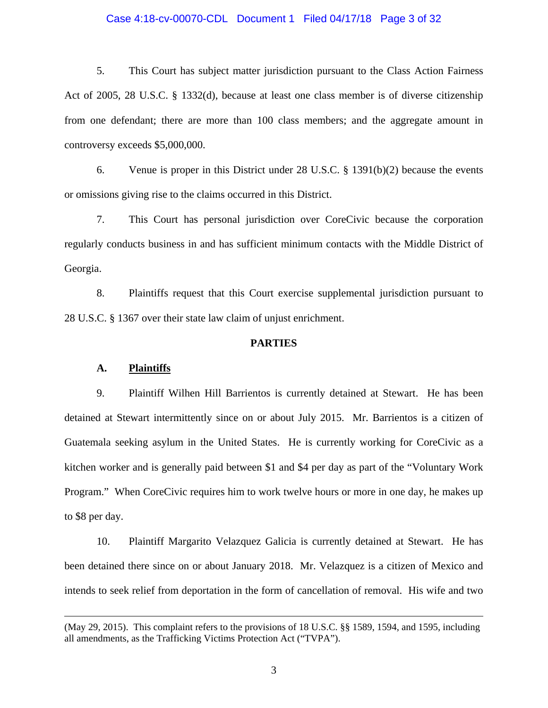#### Case 4:18-cv-00070-CDL Document 1 Filed 04/17/18 Page 3 of 32

5. This Court has subject matter jurisdiction pursuant to the Class Action Fairness Act of 2005, 28 U.S.C. § 1332(d), because at least one class member is of diverse citizenship from one defendant; there are more than 100 class members; and the aggregate amount in controversy exceeds \$5,000,000.

6. Venue is proper in this District under 28 U.S.C. § 1391(b)(2) because the events or omissions giving rise to the claims occurred in this District.

7. This Court has personal jurisdiction over CoreCivic because the corporation regularly conducts business in and has sufficient minimum contacts with the Middle District of Georgia.

8. Plaintiffs request that this Court exercise supplemental jurisdiction pursuant to 28 U.S.C. § 1367 over their state law claim of unjust enrichment.

### **PARTIES**

#### **A. Plaintiffs**

 $\overline{a}$ 

9. Plaintiff Wilhen Hill Barrientos is currently detained at Stewart. He has been detained at Stewart intermittently since on or about July 2015. Mr. Barrientos is a citizen of Guatemala seeking asylum in the United States. He is currently working for CoreCivic as a kitchen worker and is generally paid between \$1 and \$4 per day as part of the "Voluntary Work Program." When CoreCivic requires him to work twelve hours or more in one day, he makes up to \$8 per day.

10. Plaintiff Margarito Velazquez Galicia is currently detained at Stewart. He has been detained there since on or about January 2018. Mr. Velazquez is a citizen of Mexico and intends to seek relief from deportation in the form of cancellation of removal. His wife and two

<sup>(</sup>May 29, 2015). This complaint refers to the provisions of 18 U.S.C. §§ 1589, 1594, and 1595, including all amendments, as the Trafficking Victims Protection Act ("TVPA").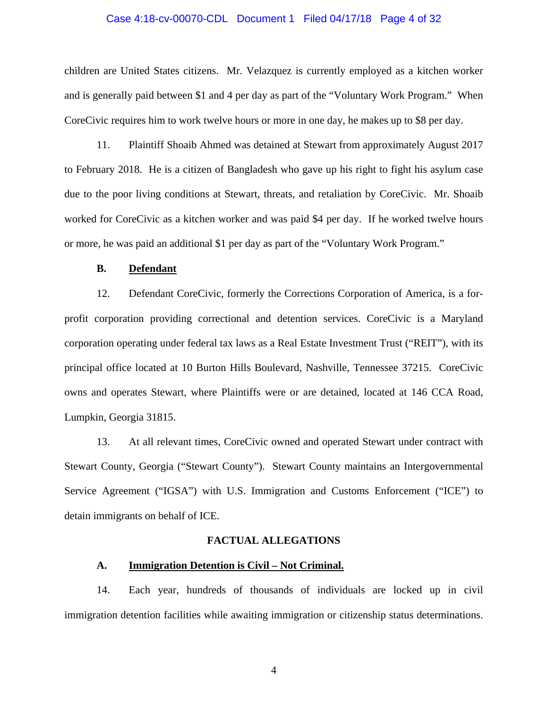#### Case 4:18-cv-00070-CDL Document 1 Filed 04/17/18 Page 4 of 32

children are United States citizens. Mr. Velazquez is currently employed as a kitchen worker and is generally paid between \$1 and 4 per day as part of the "Voluntary Work Program." When CoreCivic requires him to work twelve hours or more in one day, he makes up to \$8 per day.

11. Plaintiff Shoaib Ahmed was detained at Stewart from approximately August 2017 to February 2018. He is a citizen of Bangladesh who gave up his right to fight his asylum case due to the poor living conditions at Stewart, threats, and retaliation by CoreCivic. Mr. Shoaib worked for CoreCivic as a kitchen worker and was paid \$4 per day. If he worked twelve hours or more, he was paid an additional \$1 per day as part of the "Voluntary Work Program."

## **B. Defendant**

12. Defendant CoreCivic, formerly the Corrections Corporation of America, is a forprofit corporation providing correctional and detention services. CoreCivic is a Maryland corporation operating under federal tax laws as a Real Estate Investment Trust ("REIT"), with its principal office located at 10 Burton Hills Boulevard, Nashville, Tennessee 37215. CoreCivic owns and operates Stewart, where Plaintiffs were or are detained, located at 146 CCA Road, Lumpkin, Georgia 31815.

13. At all relevant times, CoreCivic owned and operated Stewart under contract with Stewart County, Georgia ("Stewart County"). Stewart County maintains an Intergovernmental Service Agreement ("IGSA") with U.S. Immigration and Customs Enforcement ("ICE") to detain immigrants on behalf of ICE.

### **FACTUAL ALLEGATIONS**

### **A. Immigration Detention is Civil – Not Criminal.**

14. Each year, hundreds of thousands of individuals are locked up in civil immigration detention facilities while awaiting immigration or citizenship status determinations.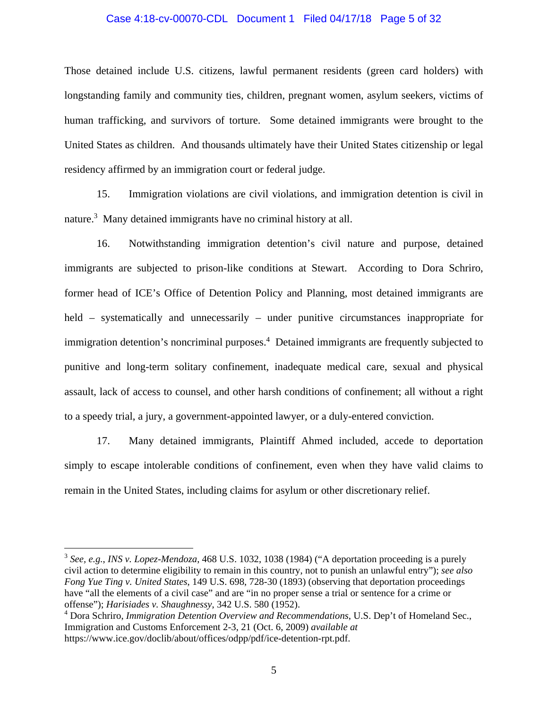#### Case 4:18-cv-00070-CDL Document 1 Filed 04/17/18 Page 5 of 32

Those detained include U.S. citizens, lawful permanent residents (green card holders) with longstanding family and community ties, children, pregnant women, asylum seekers, victims of human trafficking, and survivors of torture. Some detained immigrants were brought to the United States as children. And thousands ultimately have their United States citizenship or legal residency affirmed by an immigration court or federal judge.

15. Immigration violations are civil violations, and immigration detention is civil in nature.<sup>3</sup> Many detained immigrants have no criminal history at all.

16. Notwithstanding immigration detention's civil nature and purpose, detained immigrants are subjected to prison-like conditions at Stewart. According to Dora Schriro, former head of ICE's Office of Detention Policy and Planning, most detained immigrants are held – systematically and unnecessarily – under punitive circumstances inappropriate for immigration detention's noncriminal purposes.<sup>4</sup> Detained immigrants are frequently subjected to punitive and long-term solitary confinement, inadequate medical care, sexual and physical assault, lack of access to counsel, and other harsh conditions of confinement; all without a right to a speedy trial, a jury, a government-appointed lawyer, or a duly-entered conviction.

17. Many detained immigrants, Plaintiff Ahmed included, accede to deportation simply to escape intolerable conditions of confinement, even when they have valid claims to remain in the United States, including claims for asylum or other discretionary relief.

<sup>3</sup> *See, e.g.*, *INS v. Lopez-Mendoza*, 468 U.S. 1032, 1038 (1984) ("A deportation proceeding is a purely civil action to determine eligibility to remain in this country, not to punish an unlawful entry"); *see also Fong Yue Ting v. United States*, 149 U.S. 698, 728-30 (1893) (observing that deportation proceedings have "all the elements of a civil case" and are "in no proper sense a trial or sentence for a crime or offense"); *Harisiades v. Shaughnessy*, 342 U.S. 580 (1952).

<sup>4</sup> Dora Schriro, *Immigration Detention Overview and Recommendations*, U.S. Dep't of Homeland Sec., Immigration and Customs Enforcement 2-3, 21 (Oct. 6, 2009) *available at* https://www.ice.gov/doclib/about/offices/odpp/pdf/ice-detention-rpt.pdf.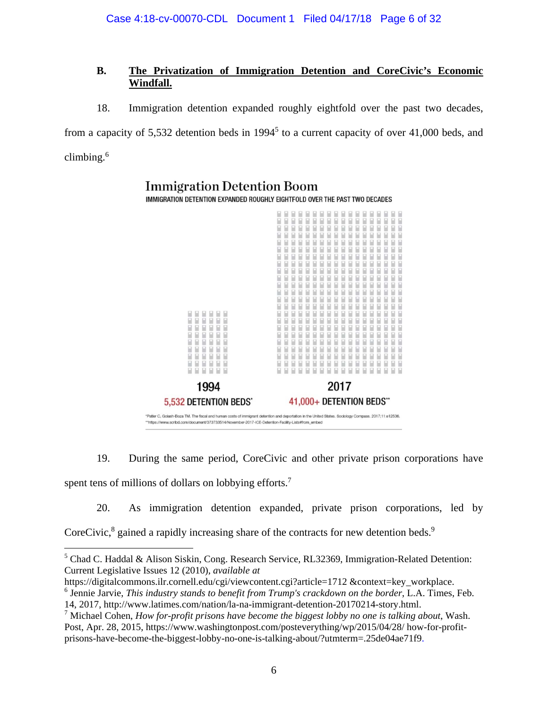# **B. The Privatization of Immigration Detention and CoreCivic's Economic Windfall.**

18. Immigration detention expanded roughly eightfold over the past two decades,

from a capacity of 5,532 detention beds in  $1994<sup>5</sup>$  to a current capacity of over 41,000 beds, and climbing.6



19. During the same period, CoreCivic and other private prison corporations have spent tens of millions of dollars on lobbying efforts.<sup>7</sup>

20. As immigration detention expanded, private prison corporations, led by CoreCivic, ${}^{8}$  gained a rapidly increasing share of the contracts for new detention beds. ${}^{9}$ 

<sup>&</sup>lt;sup>5</sup> Chad C. Haddal & Alison Siskin, Cong. Research Service, RL32369, Immigration-Related Detention: Current Legislative Issues 12 (2010), *available at*

https://digitalcommons.ilr.cornell.edu/cgi/viewcontent.cgi?article=1712 &context=key\_workplace. 6 Jennie Jarvie, *This industry stands to benefit from Trump's crackdown on the border*, L.A. Times, Feb.

<sup>14, 2017,</sup> http://www.latimes.com/nation/la-na-immigrant-detention-20170214-story.html.

<sup>7</sup> Michael Cohen, *How for-profit prisons have become the biggest lobby no one is talking about*, Wash. Post, Apr. 28, 2015, https://www.washingtonpost.com/posteverything/wp/2015/04/28/ how-for-profitprisons-have-become-the-biggest-lobby-no-one-is-talking-about/?utmterm=.25de04ae71f9.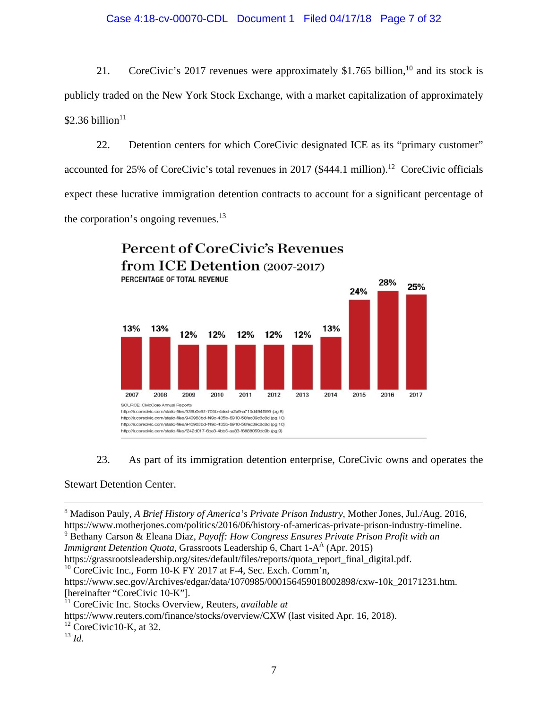21. CoreCivic's 2017 revenues were approximately \$1.765 billion,<sup>10</sup> and its stock is publicly traded on the New York Stock Exchange, with a market capitalization of approximately  $$2.36$  billion<sup>11</sup>

22. Detention centers for which CoreCivic designated ICE as its "primary customer" accounted for  $25\%$  of CoreCivic's total revenues in 2017 (\$444.1 million).<sup>12</sup> CoreCivic officials expect these lucrative immigration detention contracts to account for a significant percentage of the corporation's ongoing revenues. $^{13}$ 



23. As part of its immigration detention enterprise, CoreCivic owns and operates the

Stewart Detention Center.

*Immigrant Detention Quota*, Grassroots Leadership 6, Chart 1-A<sup>A</sup> (Apr. 2015)

https://grassrootsleadership.org/sites/default/files/reports/quota\_report\_final\_digital.pdf.

 $10$  CoreCivic Inc., Form 10-K FY 2017 at F-4, Sec. Exch. Comm'n,

https://www.sec.gov/Archives/edgar/data/1070985/000156459018002898/cxw-10k\_20171231.htm. [hereinafter "CoreCivic 10-K"].

<sup>13</sup> *Id.*

 <sup>8</sup> Madison Pauly, *A Brief History of America's Private Prison Industry*, Mother Jones, Jul./Aug. 2016, https://www.motherjones.com/politics/2016/06/history-of-americas-private-prison-industry-timeline. 9 Bethany Carson & Eleana Diaz, *Payoff: How Congress Ensures Private Prison Profit with an* 

<sup>11</sup> CoreCivic Inc. Stocks Overview, Reuters, *available at* 

https://www.reuters.com/finance/stocks/overview/CXW (last visited Apr. 16, 2018).

 $12$  CoreCivic10-K, at 32.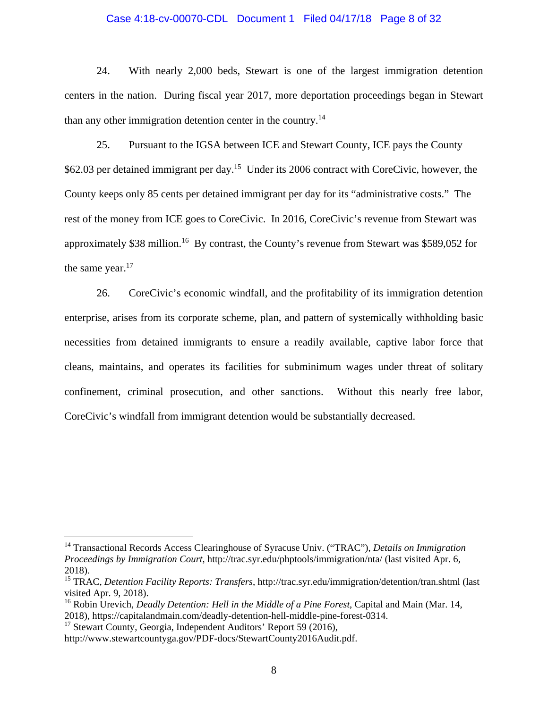#### Case 4:18-cv-00070-CDL Document 1 Filed 04/17/18 Page 8 of 32

24. With nearly 2,000 beds, Stewart is one of the largest immigration detention centers in the nation. During fiscal year 2017, more deportation proceedings began in Stewart than any other immigration detention center in the country.<sup>14</sup>

25. Pursuant to the IGSA between ICE and Stewart County, ICE pays the County \$62.03 per detained immigrant per day.<sup>15</sup> Under its 2006 contract with CoreCivic, however, the County keeps only 85 cents per detained immigrant per day for its "administrative costs." The rest of the money from ICE goes to CoreCivic. In 2016, CoreCivic's revenue from Stewart was approximately \$38 million.<sup>16</sup> By contrast, the County's revenue from Stewart was \$589,052 for the same year.<sup>17</sup>

26. CoreCivic's economic windfall, and the profitability of its immigration detention enterprise, arises from its corporate scheme, plan, and pattern of systemically withholding basic necessities from detained immigrants to ensure a readily available, captive labor force that cleans, maintains, and operates its facilities for subminimum wages under threat of solitary confinement, criminal prosecution, and other sanctions. Without this nearly free labor, CoreCivic's windfall from immigrant detention would be substantially decreased.

<sup>17</sup> Stewart County, Georgia, Independent Auditors' Report 59 (2016),

<sup>14</sup> Transactional Records Access Clearinghouse of Syracuse Univ. ("TRAC"), *Details on Immigration Proceedings by Immigration Court*, http://trac.syr.edu/phptools/immigration/nta/ (last visited Apr. 6, 2018).

<sup>15</sup> TRAC, *Detention Facility Reports: Transfers*, http://trac.syr.edu/immigration/detention/tran.shtml (last visited Apr. 9, 2018).

<sup>16</sup> Robin Urevich, *Deadly Detention: Hell in the Middle of a Pine Forest*, Capital and Main (Mar. 14, 2018), https://capitalandmain.com/deadly-detention-hell-middle-pine-forest-0314.

http://www.stewartcountyga.gov/PDF-docs/StewartCounty2016Audit.pdf.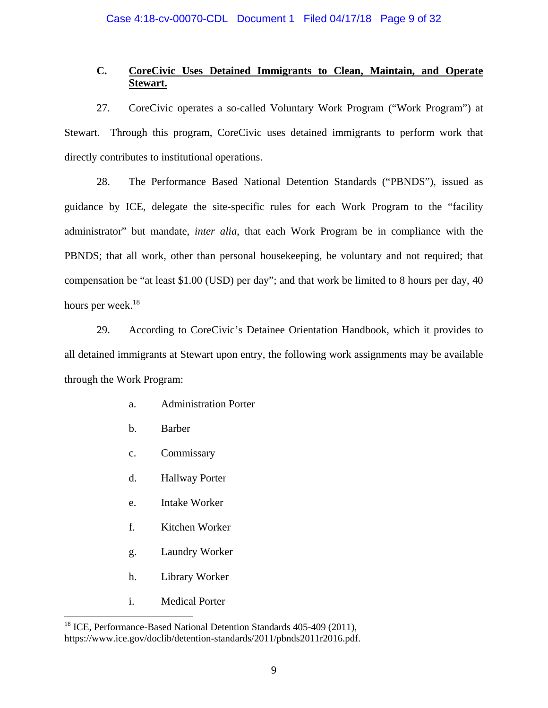# **C. CoreCivic Uses Detained Immigrants to Clean, Maintain, and Operate Stewart.**

27. CoreCivic operates a so-called Voluntary Work Program ("Work Program") at Stewart. Through this program, CoreCivic uses detained immigrants to perform work that directly contributes to institutional operations.

28. The Performance Based National Detention Standards ("PBNDS"), issued as guidance by ICE, delegate the site-specific rules for each Work Program to the "facility administrator" but mandate, *inter alia*, that each Work Program be in compliance with the PBNDS; that all work, other than personal housekeeping, be voluntary and not required; that compensation be "at least \$1.00 (USD) per day"; and that work be limited to 8 hours per day, 40 hours per week.<sup>18</sup>

29. According to CoreCivic's Detainee Orientation Handbook, which it provides to all detained immigrants at Stewart upon entry, the following work assignments may be available through the Work Program:

- a. Administration Porter
- b. Barber
- c. Commissary
- d. Hallway Porter
- e. Intake Worker
- f. Kitchen Worker
- g. Laundry Worker
- h. Library Worker
- i. Medical Porter

<sup>&</sup>lt;sup>18</sup> ICE, Performance-Based National Detention Standards 405-409 (2011), https://www.ice.gov/doclib/detention-standards/2011/pbnds2011r2016.pdf.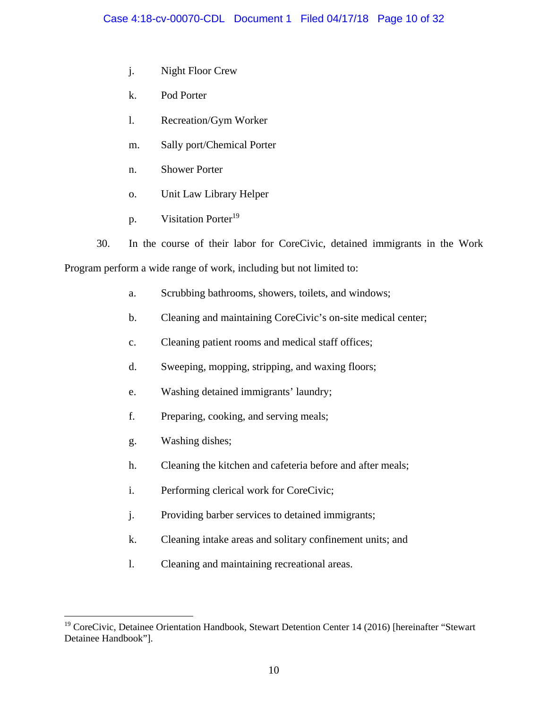- j. Night Floor Crew
- k. Pod Porter
- l. Recreation/Gym Worker
- m. Sally port/Chemical Porter
- n. Shower Porter
- o. Unit Law Library Helper
- p. Visitation Porter<sup>19</sup>
- 30. In the course of their labor for CoreCivic, detained immigrants in the Work

Program perform a wide range of work, including but not limited to:

- a. Scrubbing bathrooms, showers, toilets, and windows;
- b. Cleaning and maintaining CoreCivic's on-site medical center;
- c. Cleaning patient rooms and medical staff offices;
- d. Sweeping, mopping, stripping, and waxing floors;
- e. Washing detained immigrants' laundry;
- f. Preparing, cooking, and serving meals;
- g. Washing dishes;
- h. Cleaning the kitchen and cafeteria before and after meals;
- i. Performing clerical work for CoreCivic;
- j. Providing barber services to detained immigrants;
- k. Cleaning intake areas and solitary confinement units; and
- l. Cleaning and maintaining recreational areas.

<sup>1</sup> <sup>19</sup> CoreCivic, Detainee Orientation Handbook, Stewart Detention Center 14 (2016) [hereinafter "Stewart Detainee Handbook"].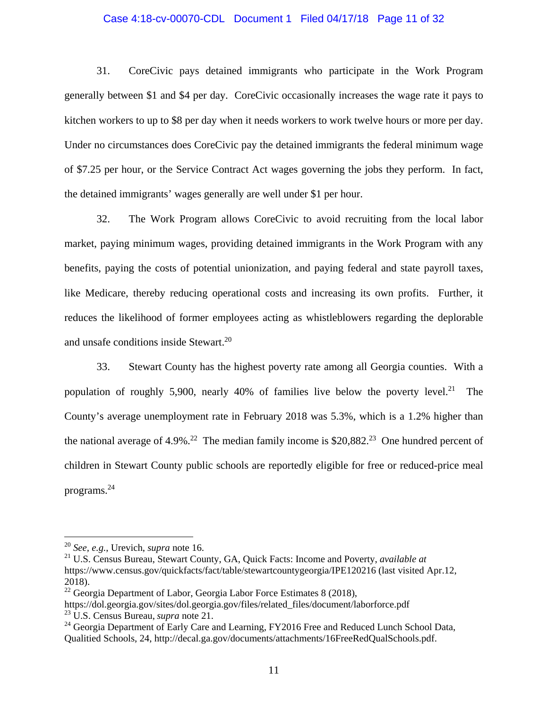#### Case 4:18-cv-00070-CDL Document 1 Filed 04/17/18 Page 11 of 32

31. CoreCivic pays detained immigrants who participate in the Work Program generally between \$1 and \$4 per day. CoreCivic occasionally increases the wage rate it pays to kitchen workers to up to \$8 per day when it needs workers to work twelve hours or more per day. Under no circumstances does CoreCivic pay the detained immigrants the federal minimum wage of \$7.25 per hour, or the Service Contract Act wages governing the jobs they perform. In fact, the detained immigrants' wages generally are well under \$1 per hour.

32. The Work Program allows CoreCivic to avoid recruiting from the local labor market, paying minimum wages, providing detained immigrants in the Work Program with any benefits, paying the costs of potential unionization, and paying federal and state payroll taxes, like Medicare, thereby reducing operational costs and increasing its own profits. Further, it reduces the likelihood of former employees acting as whistleblowers regarding the deplorable and unsafe conditions inside Stewart.<sup>20</sup>

33. Stewart County has the highest poverty rate among all Georgia counties. With a population of roughly 5,900, nearly 40% of families live below the poverty level.<sup>21</sup> The County's average unemployment rate in February 2018 was 5.3%, which is a 1.2% higher than the national average of 4.9%.<sup>22</sup> The median family income is \$20,882.<sup>23</sup> One hundred percent of children in Stewart County public schools are reportedly eligible for free or reduced-price meal programs.24

<sup>20</sup> *See, e.g.*, Urevich, *supra* note 16.

<sup>21</sup> U.S. Census Bureau, Stewart County, GA, Quick Facts: Income and Poverty, *available at* https://www.census.gov/quickfacts/fact/table/stewartcountygeorgia/IPE120216 (last visited Apr.12, 2018).

<sup>&</sup>lt;sup>22</sup> Georgia Department of Labor, Georgia Labor Force Estimates 8 (2018),

https://dol.georgia.gov/sites/dol.georgia.gov/files/related\_files/document/laborforce.pdf 23 U.S. Census Bureau, *supra* note 21.

<sup>&</sup>lt;sup>24</sup> Georgia Department of Early Care and Learning, FY2016 Free and Reduced Lunch School Data, Qualitied Schools, 24, http://decal.ga.gov/documents/attachments/16FreeRedQualSchools.pdf.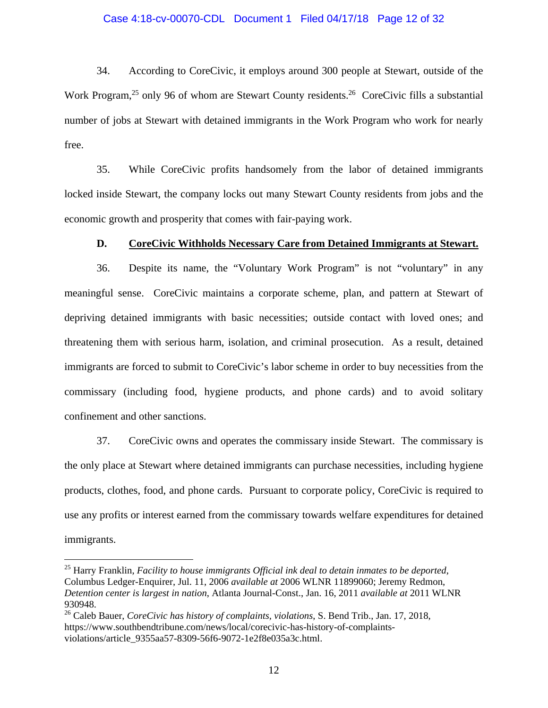#### Case 4:18-cv-00070-CDL Document 1 Filed 04/17/18 Page 12 of 32

34. According to CoreCivic, it employs around 300 people at Stewart, outside of the Work Program,<sup>25</sup> only 96 of whom are Stewart County residents.<sup>26</sup> CoreCivic fills a substantial number of jobs at Stewart with detained immigrants in the Work Program who work for nearly free.

35. While CoreCivic profits handsomely from the labor of detained immigrants locked inside Stewart, the company locks out many Stewart County residents from jobs and the economic growth and prosperity that comes with fair-paying work.

### **D. CoreCivic Withholds Necessary Care from Detained Immigrants at Stewart.**

36. Despite its name, the "Voluntary Work Program" is not "voluntary" in any meaningful sense. CoreCivic maintains a corporate scheme, plan, and pattern at Stewart of depriving detained immigrants with basic necessities; outside contact with loved ones; and threatening them with serious harm, isolation, and criminal prosecution. As a result, detained immigrants are forced to submit to CoreCivic's labor scheme in order to buy necessities from the commissary (including food, hygiene products, and phone cards) and to avoid solitary confinement and other sanctions.

37. CoreCivic owns and operates the commissary inside Stewart. The commissary is the only place at Stewart where detained immigrants can purchase necessities, including hygiene products, clothes, food, and phone cards. Pursuant to corporate policy, CoreCivic is required to use any profits or interest earned from the commissary towards welfare expenditures for detained immigrants.

<sup>25</sup> Harry Franklin, *Facility to house immigrants Official ink deal to detain inmates to be deported*, Columbus Ledger-Enquirer, Jul. 11, 2006 *available at* 2006 WLNR 11899060; Jeremy Redmon, *Detention center is largest in nation*, Atlanta Journal-Const., Jan. 16, 2011 *available at* 2011 WLNR 930948.

<sup>26</sup> Caleb Bauer, *CoreCivic has history of complaints, violations*, S. Bend Trib., Jan. 17, 2018, https://www.southbendtribune.com/news/local/corecivic-has-history-of-complaintsviolations/article\_9355aa57-8309-56f6-9072-1e2f8e035a3c.html.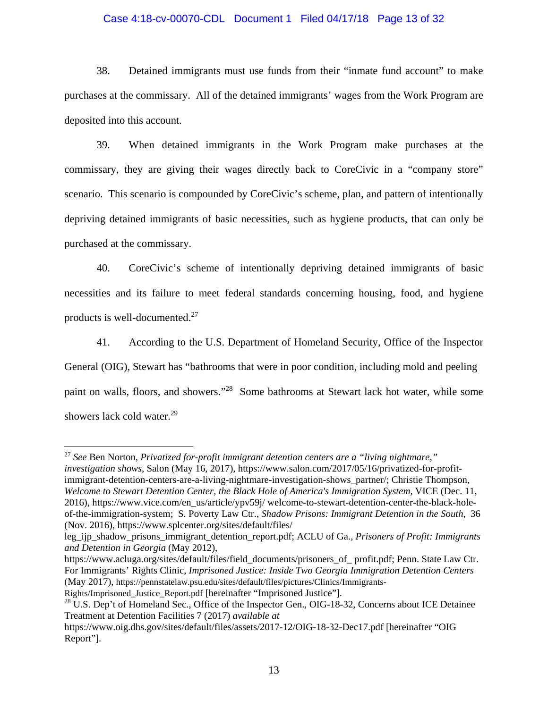## Case 4:18-cv-00070-CDL Document 1 Filed 04/17/18 Page 13 of 32

38. Detained immigrants must use funds from their "inmate fund account" to make purchases at the commissary. All of the detained immigrants' wages from the Work Program are deposited into this account.

39. When detained immigrants in the Work Program make purchases at the commissary, they are giving their wages directly back to CoreCivic in a "company store" scenario. This scenario is compounded by CoreCivic's scheme, plan, and pattern of intentionally depriving detained immigrants of basic necessities, such as hygiene products, that can only be purchased at the commissary.

40. CoreCivic's scheme of intentionally depriving detained immigrants of basic necessities and its failure to meet federal standards concerning housing, food, and hygiene products is well-documented.27

41. According to the U.S. Department of Homeland Security, Office of the Inspector General (OIG), Stewart has "bathrooms that were in poor condition, including mold and peeling paint on walls, floors, and showers."28 Some bathrooms at Stewart lack hot water, while some showers lack cold water.<sup>29</sup>

<sup>27</sup> *See* Ben Norton, *Privatized for-profit immigrant detention centers are a "living nightmare," investigation shows*, Salon (May 16, 2017), https://www.salon.com/2017/05/16/privatized-for-profitimmigrant-detention-centers-are-a-living-nightmare-investigation-shows\_partner/; Christie Thompson, *Welcome to Stewart Detention Center, the Black Hole of America's Immigration System*, VICE (Dec. 11, 2016), https://www.vice.com/en\_us/article/ypv59j/ welcome-to-stewart-detention-center-the-black-holeof-the-immigration-system; S. Poverty Law Ctr., *Shadow Prisons: Immigrant Detention in the South*, 36 (Nov. 2016), https://www.splcenter.org/sites/default/files/

https://www.acluga.org/sites/default/files/field\_documents/prisoners\_of\_ profit.pdf; Penn. State Law Ctr. For Immigrants' Rights Clinic, *Imprisoned Justice: Inside Two Georgia Immigration Detention Centers* (May 2017), https://pennstatelaw.psu.edu/sites/default/files/pictures/Clinics/Immigrants-

leg\_ijp\_shadow\_prisons\_immigrant\_detention\_report.pdf; ACLU of Ga., *Prisoners of Profit: Immigrants and Detention in Georgia* (May 2012),

Rights/Imprisoned\_Justice\_Report.pdf [hereinafter "Imprisoned Justice"].

<sup>&</sup>lt;sup>28</sup> U.S. Dep't of Homeland Sec., Office of the Inspector Gen., OIG-18-32, Concerns about ICE Detainee Treatment at Detention Facilities 7 (2017) *available at* 

https://www.oig.dhs.gov/sites/default/files/assets/2017-12/OIG-18-32-Dec17.pdf [hereinafter "OIG Report"].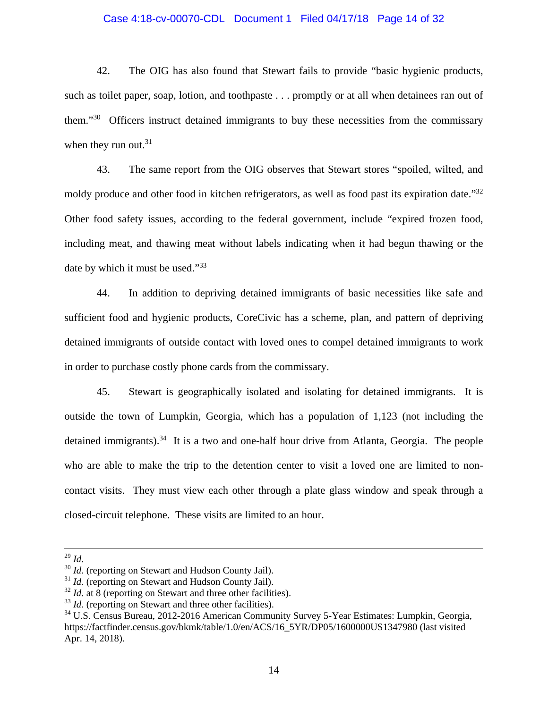#### Case 4:18-cv-00070-CDL Document 1 Filed 04/17/18 Page 14 of 32

42. The OIG has also found that Stewart fails to provide "basic hygienic products, such as toilet paper, soap, lotion, and toothpaste . . . promptly or at all when detainees ran out of them."30 Officers instruct detained immigrants to buy these necessities from the commissary when they run out. $31$ 

43. The same report from the OIG observes that Stewart stores "spoiled, wilted, and moldy produce and other food in kitchen refrigerators, as well as food past its expiration date."<sup>32</sup> Other food safety issues, according to the federal government, include "expired frozen food, including meat, and thawing meat without labels indicating when it had begun thawing or the date by which it must be used."33

44. In addition to depriving detained immigrants of basic necessities like safe and sufficient food and hygienic products, CoreCivic has a scheme, plan, and pattern of depriving detained immigrants of outside contact with loved ones to compel detained immigrants to work in order to purchase costly phone cards from the commissary.

45. Stewart is geographically isolated and isolating for detained immigrants. It is outside the town of Lumpkin, Georgia, which has a population of 1,123 (not including the detained immigrants).<sup>34</sup> It is a two and one-half hour drive from Atlanta, Georgia. The people who are able to make the trip to the detention center to visit a loved one are limited to noncontact visits. They must view each other through a plate glass window and speak through a closed-circuit telephone. These visits are limited to an hour.

 <sup>29</sup> *Id.*

<sup>&</sup>lt;sup>30</sup> *Id.* (reporting on Stewart and Hudson County Jail).

<sup>&</sup>lt;sup>31</sup> *Id.* (reporting on Stewart and Hudson County Jail).

<sup>&</sup>lt;sup>32</sup> *Id.* at 8 (reporting on Stewart and three other facilities).

<sup>&</sup>lt;sup>33</sup> *Id.* (reporting on Stewart and three other facilities).

<sup>34</sup> U.S. Census Bureau, 2012-2016 American Community Survey 5-Year Estimates: Lumpkin, Georgia, https://factfinder.census.gov/bkmk/table/1.0/en/ACS/16\_5YR/DP05/1600000US1347980 (last visited Apr. 14, 2018).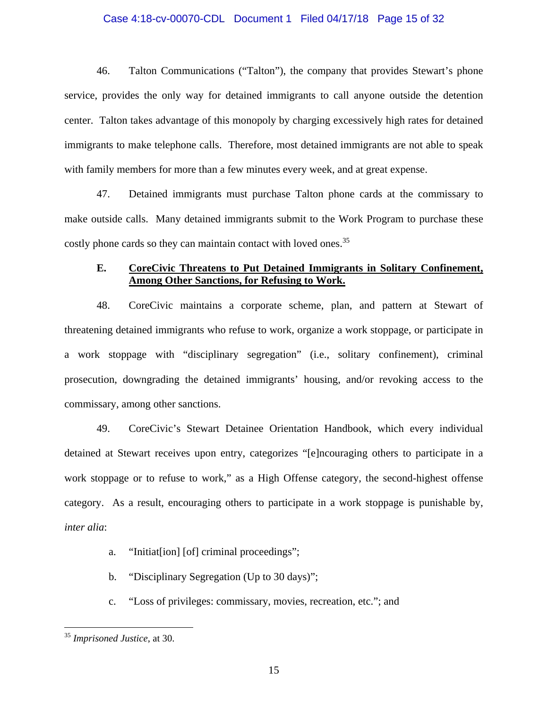#### Case 4:18-cv-00070-CDL Document 1 Filed 04/17/18 Page 15 of 32

46. Talton Communications ("Talton"), the company that provides Stewart's phone service, provides the only way for detained immigrants to call anyone outside the detention center. Talton takes advantage of this monopoly by charging excessively high rates for detained immigrants to make telephone calls. Therefore, most detained immigrants are not able to speak with family members for more than a few minutes every week, and at great expense.

47. Detained immigrants must purchase Talton phone cards at the commissary to make outside calls. Many detained immigrants submit to the Work Program to purchase these costly phone cards so they can maintain contact with loved ones.<sup>35</sup>

# **E. CoreCivic Threatens to Put Detained Immigrants in Solitary Confinement, Among Other Sanctions, for Refusing to Work.**

48. CoreCivic maintains a corporate scheme, plan, and pattern at Stewart of threatening detained immigrants who refuse to work, organize a work stoppage, or participate in a work stoppage with "disciplinary segregation" (i.e., solitary confinement), criminal prosecution, downgrading the detained immigrants' housing, and/or revoking access to the commissary, among other sanctions.

49. CoreCivic's Stewart Detainee Orientation Handbook, which every individual detained at Stewart receives upon entry, categorizes "[e]ncouraging others to participate in a work stoppage or to refuse to work," as a High Offense category, the second-highest offense category. As a result, encouraging others to participate in a work stoppage is punishable by, *inter alia*:

- a. "Initiaterion] [of] criminal proceedings";
- b. "Disciplinary Segregation (Up to 30 days)";
- c. "Loss of privileges: commissary, movies, recreation, etc."; and

<sup>35</sup> *Imprisoned Justice*, at 30.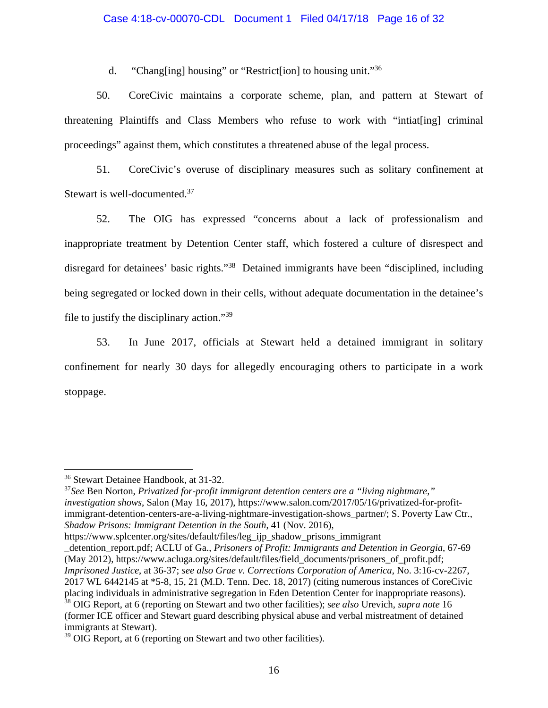## Case 4:18-cv-00070-CDL Document 1 Filed 04/17/18 Page 16 of 32

d. "Chang[ing] housing" or "Restrict[ion] to housing unit."36

50. CoreCivic maintains a corporate scheme, plan, and pattern at Stewart of threatening Plaintiffs and Class Members who refuse to work with "intiat[ing] criminal proceedings" against them, which constitutes a threatened abuse of the legal process.

51. CoreCivic's overuse of disciplinary measures such as solitary confinement at Stewart is well-documented.<sup>37</sup>

52. The OIG has expressed "concerns about a lack of professionalism and inappropriate treatment by Detention Center staff, which fostered a culture of disrespect and disregard for detainees' basic rights."38 Detained immigrants have been "disciplined, including being segregated or locked down in their cells, without adequate documentation in the detainee's file to justify the disciplinary action."39

53. In June 2017, officials at Stewart held a detained immigrant in solitary confinement for nearly 30 days for allegedly encouraging others to participate in a work stoppage.

<sup>36</sup> Stewart Detainee Handbook, at 31-32.

<sup>37</sup>*See* Ben Norton, *Privatized for-profit immigrant detention centers are a "living nightmare," investigation shows*, Salon (May 16, 2017), https://www.salon.com/2017/05/16/privatized-for-profitimmigrant-detention-centers-are-a-living-nightmare-investigation-shows\_partner/; S. Poverty Law Ctr., *Shadow Prisons: Immigrant Detention in the South*, 41 (Nov. 2016),

https://www.splcenter.org/sites/default/files/leg\_ijp\_shadow\_prisons\_immigrant

\_detention\_report.pdf; ACLU of Ga., *Prisoners of Profit: Immigrants and Detention in Georgia*, 67-69 (May 2012), https://www.acluga.org/sites/default/files/field\_documents/prisoners\_of\_profit.pdf; *Imprisoned Justice*, at 36-37; *see also Grae v. Corrections Corporation of America*, No. 3:16-cv-2267, 2017 WL 6442145 at \*5-8, 15, 21 (M.D. Tenn. Dec. 18, 2017) (citing numerous instances of CoreCivic placing individuals in administrative segregation in Eden Detention Center for inappropriate reasons).

<sup>38</sup> OIG Report, at 6 (reporting on Stewart and two other facilities); s*ee also* Urevich, *supra note* 16 (former ICE officer and Stewart guard describing physical abuse and verbal mistreatment of detained immigrants at Stewart).

<sup>&</sup>lt;sup>39</sup> OIG Report, at 6 (reporting on Stewart and two other facilities).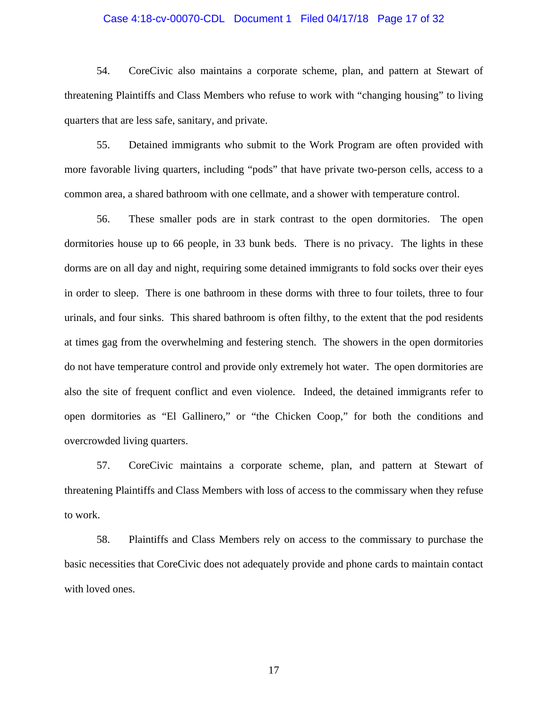#### Case 4:18-cv-00070-CDL Document 1 Filed 04/17/18 Page 17 of 32

54. CoreCivic also maintains a corporate scheme, plan, and pattern at Stewart of threatening Plaintiffs and Class Members who refuse to work with "changing housing" to living quarters that are less safe, sanitary, and private.

55. Detained immigrants who submit to the Work Program are often provided with more favorable living quarters, including "pods" that have private two-person cells, access to a common area, a shared bathroom with one cellmate, and a shower with temperature control.

56. These smaller pods are in stark contrast to the open dormitories. The open dormitories house up to 66 people, in 33 bunk beds. There is no privacy. The lights in these dorms are on all day and night, requiring some detained immigrants to fold socks over their eyes in order to sleep. There is one bathroom in these dorms with three to four toilets, three to four urinals, and four sinks. This shared bathroom is often filthy, to the extent that the pod residents at times gag from the overwhelming and festering stench. The showers in the open dormitories do not have temperature control and provide only extremely hot water. The open dormitories are also the site of frequent conflict and even violence. Indeed, the detained immigrants refer to open dormitories as "El Gallinero," or "the Chicken Coop," for both the conditions and overcrowded living quarters.

57. CoreCivic maintains a corporate scheme, plan, and pattern at Stewart of threatening Plaintiffs and Class Members with loss of access to the commissary when they refuse to work.

58. Plaintiffs and Class Members rely on access to the commissary to purchase the basic necessities that CoreCivic does not adequately provide and phone cards to maintain contact with loved ones.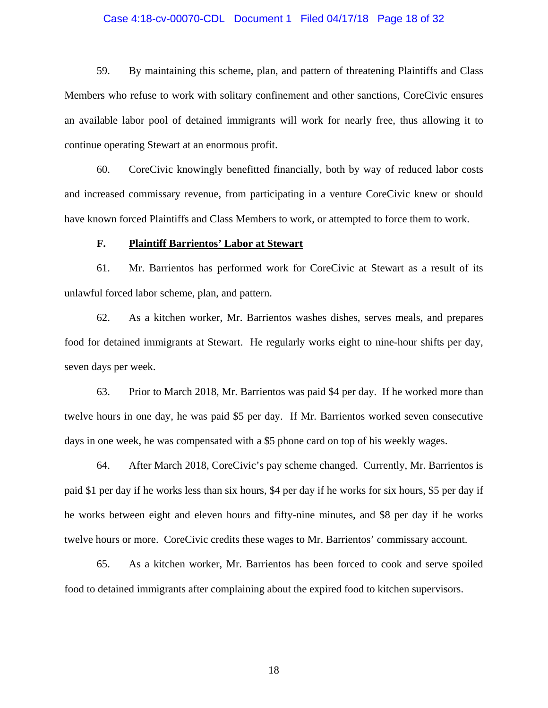#### Case 4:18-cv-00070-CDL Document 1 Filed 04/17/18 Page 18 of 32

59. By maintaining this scheme, plan, and pattern of threatening Plaintiffs and Class Members who refuse to work with solitary confinement and other sanctions, CoreCivic ensures an available labor pool of detained immigrants will work for nearly free, thus allowing it to continue operating Stewart at an enormous profit.

60. CoreCivic knowingly benefitted financially, both by way of reduced labor costs and increased commissary revenue, from participating in a venture CoreCivic knew or should have known forced Plaintiffs and Class Members to work, or attempted to force them to work.

#### **F. Plaintiff Barrientos' Labor at Stewart**

61. Mr. Barrientos has performed work for CoreCivic at Stewart as a result of its unlawful forced labor scheme, plan, and pattern.

62. As a kitchen worker, Mr. Barrientos washes dishes, serves meals, and prepares food for detained immigrants at Stewart. He regularly works eight to nine-hour shifts per day, seven days per week.

63. Prior to March 2018, Mr. Barrientos was paid \$4 per day. If he worked more than twelve hours in one day, he was paid \$5 per day. If Mr. Barrientos worked seven consecutive days in one week, he was compensated with a \$5 phone card on top of his weekly wages.

64. After March 2018, CoreCivic's pay scheme changed. Currently, Mr. Barrientos is paid \$1 per day if he works less than six hours, \$4 per day if he works for six hours, \$5 per day if he works between eight and eleven hours and fifty-nine minutes, and \$8 per day if he works twelve hours or more. CoreCivic credits these wages to Mr. Barrientos' commissary account.

65. As a kitchen worker, Mr. Barrientos has been forced to cook and serve spoiled food to detained immigrants after complaining about the expired food to kitchen supervisors.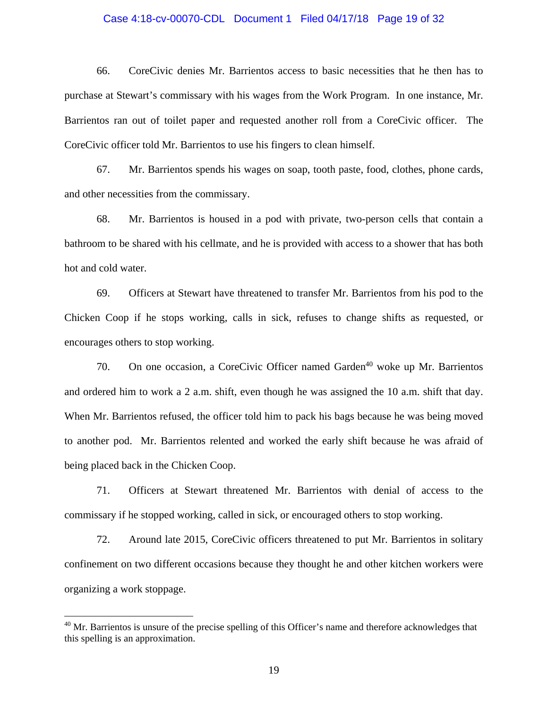#### Case 4:18-cv-00070-CDL Document 1 Filed 04/17/18 Page 19 of 32

66. CoreCivic denies Mr. Barrientos access to basic necessities that he then has to purchase at Stewart's commissary with his wages from the Work Program. In one instance, Mr. Barrientos ran out of toilet paper and requested another roll from a CoreCivic officer. The CoreCivic officer told Mr. Barrientos to use his fingers to clean himself.

67. Mr. Barrientos spends his wages on soap, tooth paste, food, clothes, phone cards, and other necessities from the commissary.

68. Mr. Barrientos is housed in a pod with private, two-person cells that contain a bathroom to be shared with his cellmate, and he is provided with access to a shower that has both hot and cold water.

69. Officers at Stewart have threatened to transfer Mr. Barrientos from his pod to the Chicken Coop if he stops working, calls in sick, refuses to change shifts as requested, or encourages others to stop working.

70. On one occasion, a CoreCivic Officer named Garden<sup>40</sup> woke up Mr. Barrientos and ordered him to work a 2 a.m. shift, even though he was assigned the 10 a.m. shift that day. When Mr. Barrientos refused, the officer told him to pack his bags because he was being moved to another pod. Mr. Barrientos relented and worked the early shift because he was afraid of being placed back in the Chicken Coop.

71. Officers at Stewart threatened Mr. Barrientos with denial of access to the commissary if he stopped working, called in sick, or encouraged others to stop working.

72. Around late 2015, CoreCivic officers threatened to put Mr. Barrientos in solitary confinement on two different occasions because they thought he and other kitchen workers were organizing a work stoppage.

<sup>&</sup>lt;sup>40</sup> Mr. Barrientos is unsure of the precise spelling of this Officer's name and therefore acknowledges that this spelling is an approximation.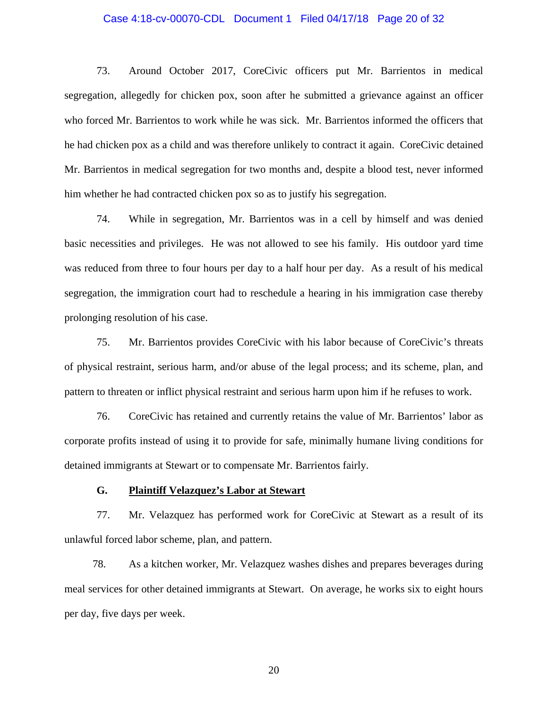#### Case 4:18-cv-00070-CDL Document 1 Filed 04/17/18 Page 20 of 32

73. Around October 2017, CoreCivic officers put Mr. Barrientos in medical segregation, allegedly for chicken pox, soon after he submitted a grievance against an officer who forced Mr. Barrientos to work while he was sick. Mr. Barrientos informed the officers that he had chicken pox as a child and was therefore unlikely to contract it again. CoreCivic detained Mr. Barrientos in medical segregation for two months and, despite a blood test, never informed him whether he had contracted chicken pox so as to justify his segregation.

74. While in segregation, Mr. Barrientos was in a cell by himself and was denied basic necessities and privileges. He was not allowed to see his family. His outdoor yard time was reduced from three to four hours per day to a half hour per day. As a result of his medical segregation, the immigration court had to reschedule a hearing in his immigration case thereby prolonging resolution of his case.

75. Mr. Barrientos provides CoreCivic with his labor because of CoreCivic's threats of physical restraint, serious harm, and/or abuse of the legal process; and its scheme, plan, and pattern to threaten or inflict physical restraint and serious harm upon him if he refuses to work.

76. CoreCivic has retained and currently retains the value of Mr. Barrientos' labor as corporate profits instead of using it to provide for safe, minimally humane living conditions for detained immigrants at Stewart or to compensate Mr. Barrientos fairly.

### **G. Plaintiff Velazquez's Labor at Stewart**

77. Mr. Velazquez has performed work for CoreCivic at Stewart as a result of its unlawful forced labor scheme, plan, and pattern.

78. As a kitchen worker, Mr. Velazquez washes dishes and prepares beverages during meal services for other detained immigrants at Stewart. On average, he works six to eight hours per day, five days per week.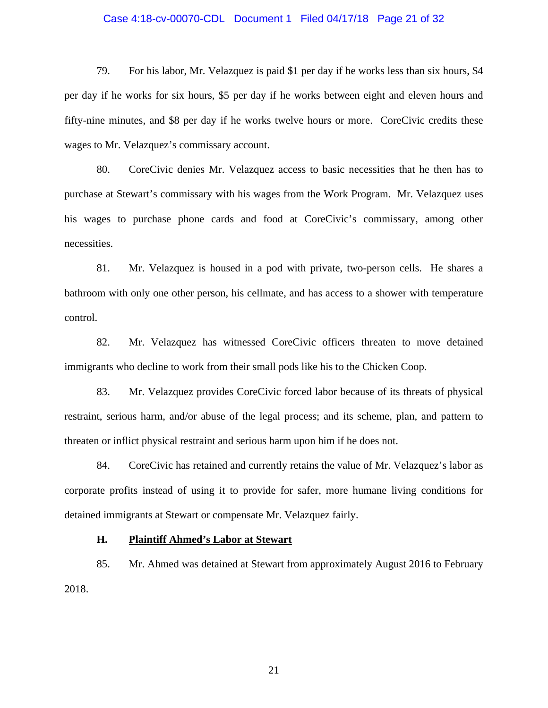#### Case 4:18-cv-00070-CDL Document 1 Filed 04/17/18 Page 21 of 32

79. For his labor, Mr. Velazquez is paid \$1 per day if he works less than six hours, \$4 per day if he works for six hours, \$5 per day if he works between eight and eleven hours and fifty-nine minutes, and \$8 per day if he works twelve hours or more. CoreCivic credits these wages to Mr. Velazquez's commissary account.

80. CoreCivic denies Mr. Velazquez access to basic necessities that he then has to purchase at Stewart's commissary with his wages from the Work Program. Mr. Velazquez uses his wages to purchase phone cards and food at CoreCivic's commissary, among other necessities.

81. Mr. Velazquez is housed in a pod with private, two-person cells. He shares a bathroom with only one other person, his cellmate, and has access to a shower with temperature control.

82. Mr. Velazquez has witnessed CoreCivic officers threaten to move detained immigrants who decline to work from their small pods like his to the Chicken Coop.

83. Mr. Velazquez provides CoreCivic forced labor because of its threats of physical restraint, serious harm, and/or abuse of the legal process; and its scheme, plan, and pattern to threaten or inflict physical restraint and serious harm upon him if he does not.

84. CoreCivic has retained and currently retains the value of Mr. Velazquez's labor as corporate profits instead of using it to provide for safer, more humane living conditions for detained immigrants at Stewart or compensate Mr. Velazquez fairly.

### **H. Plaintiff Ahmed's Labor at Stewart**

85. Mr. Ahmed was detained at Stewart from approximately August 2016 to February 2018.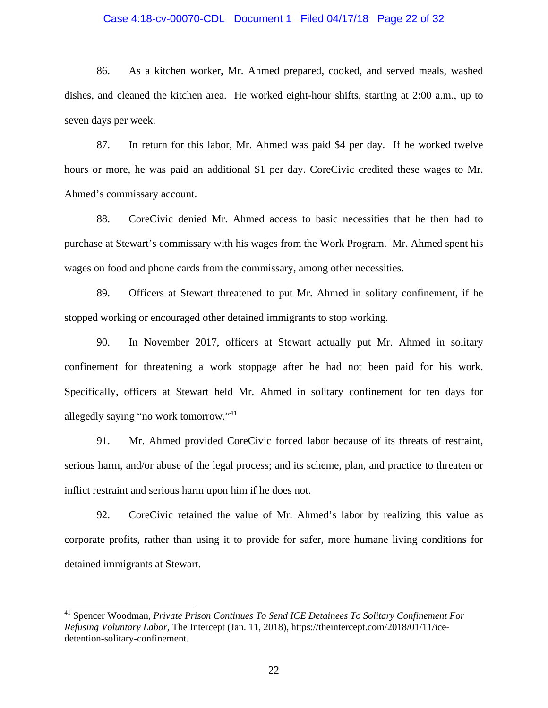#### Case 4:18-cv-00070-CDL Document 1 Filed 04/17/18 Page 22 of 32

86. As a kitchen worker, Mr. Ahmed prepared, cooked, and served meals, washed dishes, and cleaned the kitchen area. He worked eight-hour shifts, starting at 2:00 a.m., up to seven days per week.

87. In return for this labor, Mr. Ahmed was paid \$4 per day. If he worked twelve hours or more, he was paid an additional \$1 per day. CoreCivic credited these wages to Mr. Ahmed's commissary account.

88. CoreCivic denied Mr. Ahmed access to basic necessities that he then had to purchase at Stewart's commissary with his wages from the Work Program. Mr. Ahmed spent his wages on food and phone cards from the commissary, among other necessities.

89. Officers at Stewart threatened to put Mr. Ahmed in solitary confinement, if he stopped working or encouraged other detained immigrants to stop working.

90. In November 2017, officers at Stewart actually put Mr. Ahmed in solitary confinement for threatening a work stoppage after he had not been paid for his work. Specifically, officers at Stewart held Mr. Ahmed in solitary confinement for ten days for allegedly saying "no work tomorrow."41

91. Mr. Ahmed provided CoreCivic forced labor because of its threats of restraint, serious harm, and/or abuse of the legal process; and its scheme, plan, and practice to threaten or inflict restraint and serious harm upon him if he does not.

92. CoreCivic retained the value of Mr. Ahmed's labor by realizing this value as corporate profits, rather than using it to provide for safer, more humane living conditions for detained immigrants at Stewart.

<u>.</u>

<sup>41</sup> Spencer Woodman, *Private Prison Continues To Send ICE Detainees To Solitary Confinement For Refusing Voluntary Labor*, The Intercept (Jan. 11, 2018), https://theintercept.com/2018/01/11/icedetention-solitary-confinement.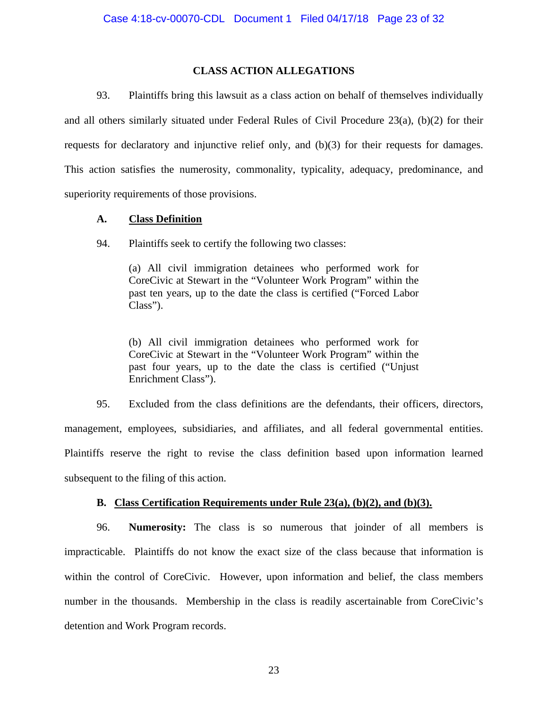# **CLASS ACTION ALLEGATIONS**

93. Plaintiffs bring this lawsuit as a class action on behalf of themselves individually and all others similarly situated under Federal Rules of Civil Procedure  $23(a)$ , (b)(2) for their requests for declaratory and injunctive relief only, and (b)(3) for their requests for damages. This action satisfies the numerosity, commonality, typicality, adequacy, predominance, and superiority requirements of those provisions.

## **A. Class Definition**

94. Plaintiffs seek to certify the following two classes:

(a) All civil immigration detainees who performed work for CoreCivic at Stewart in the "Volunteer Work Program" within the past ten years, up to the date the class is certified ("Forced Labor Class").

(b) All civil immigration detainees who performed work for CoreCivic at Stewart in the "Volunteer Work Program" within the past four years, up to the date the class is certified ("Unjust Enrichment Class").

95. Excluded from the class definitions are the defendants, their officers, directors, management, employees, subsidiaries, and affiliates, and all federal governmental entities. Plaintiffs reserve the right to revise the class definition based upon information learned subsequent to the filing of this action.

# **B. Class Certification Requirements under Rule 23(a), (b)(2), and (b)(3).**

96. **Numerosity:** The class is so numerous that joinder of all members is impracticable. Plaintiffs do not know the exact size of the class because that information is within the control of CoreCivic. However, upon information and belief, the class members number in the thousands. Membership in the class is readily ascertainable from CoreCivic's detention and Work Program records.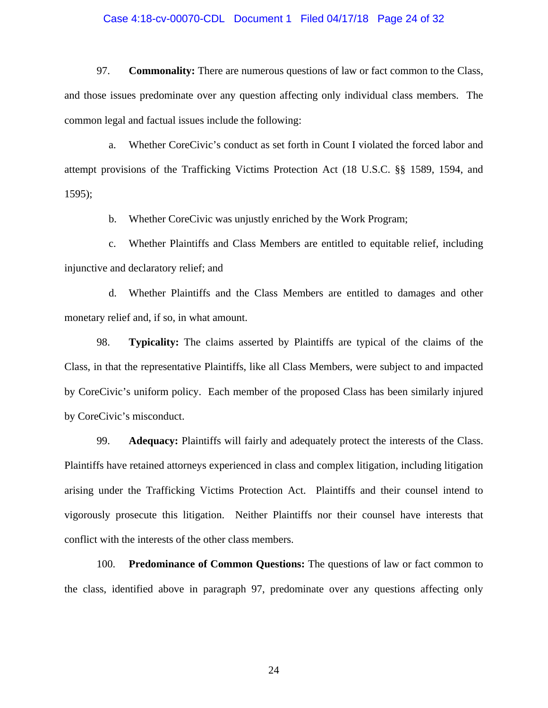# Case 4:18-cv-00070-CDL Document 1 Filed 04/17/18 Page 24 of 32

97. **Commonality:** There are numerous questions of law or fact common to the Class, and those issues predominate over any question affecting only individual class members. The common legal and factual issues include the following:

a. Whether CoreCivic's conduct as set forth in Count I violated the forced labor and attempt provisions of the Trafficking Victims Protection Act (18 U.S.C. §§ 1589, 1594, and 1595);

b. Whether CoreCivic was unjustly enriched by the Work Program;

c. Whether Plaintiffs and Class Members are entitled to equitable relief, including injunctive and declaratory relief; and

d. Whether Plaintiffs and the Class Members are entitled to damages and other monetary relief and, if so, in what amount.

98. **Typicality:** The claims asserted by Plaintiffs are typical of the claims of the Class, in that the representative Plaintiffs, like all Class Members, were subject to and impacted by CoreCivic's uniform policy. Each member of the proposed Class has been similarly injured by CoreCivic's misconduct.

99. **Adequacy:** Plaintiffs will fairly and adequately protect the interests of the Class. Plaintiffs have retained attorneys experienced in class and complex litigation, including litigation arising under the Trafficking Victims Protection Act. Plaintiffs and their counsel intend to vigorously prosecute this litigation. Neither Plaintiffs nor their counsel have interests that conflict with the interests of the other class members.

100. **Predominance of Common Questions:** The questions of law or fact common to the class, identified above in paragraph 97, predominate over any questions affecting only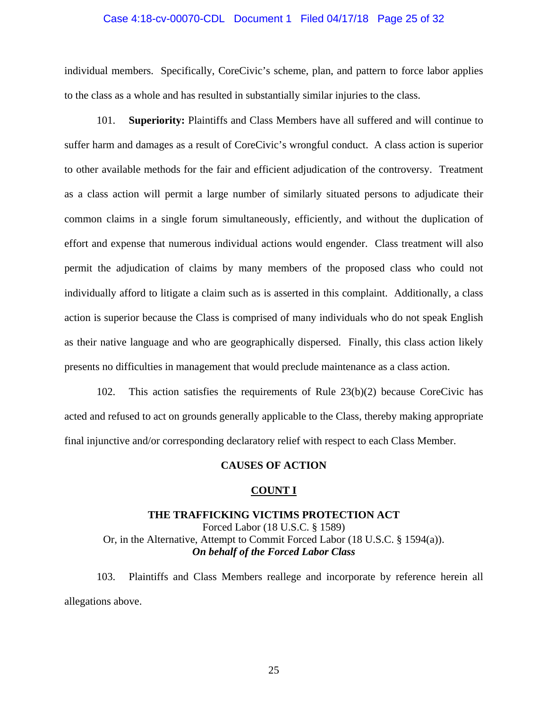#### Case 4:18-cv-00070-CDL Document 1 Filed 04/17/18 Page 25 of 32

individual members. Specifically, CoreCivic's scheme, plan, and pattern to force labor applies to the class as a whole and has resulted in substantially similar injuries to the class.

101. **Superiority:** Plaintiffs and Class Members have all suffered and will continue to suffer harm and damages as a result of CoreCivic's wrongful conduct. A class action is superior to other available methods for the fair and efficient adjudication of the controversy. Treatment as a class action will permit a large number of similarly situated persons to adjudicate their common claims in a single forum simultaneously, efficiently, and without the duplication of effort and expense that numerous individual actions would engender. Class treatment will also permit the adjudication of claims by many members of the proposed class who could not individually afford to litigate a claim such as is asserted in this complaint. Additionally, a class action is superior because the Class is comprised of many individuals who do not speak English as their native language and who are geographically dispersed. Finally, this class action likely presents no difficulties in management that would preclude maintenance as a class action.

102. This action satisfies the requirements of Rule 23(b)(2) because CoreCivic has acted and refused to act on grounds generally applicable to the Class, thereby making appropriate final injunctive and/or corresponding declaratory relief with respect to each Class Member.

#### **CAUSES OF ACTION**

#### **COUNT I**

#### **THE TRAFFICKING VICTIMS PROTECTION ACT**

Forced Labor (18 U.S.C. § 1589) Or, in the Alternative, Attempt to Commit Forced Labor (18 U.S.C. § 1594(a)). *On behalf of the Forced Labor Class* 

103. Plaintiffs and Class Members reallege and incorporate by reference herein all allegations above.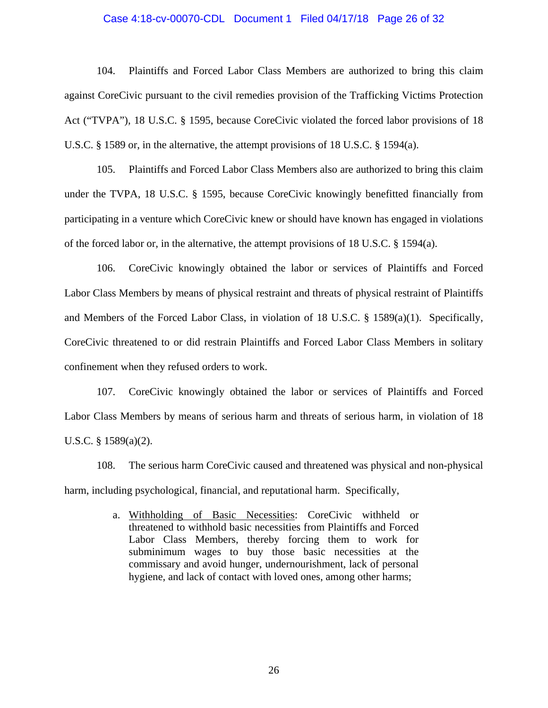#### Case 4:18-cv-00070-CDL Document 1 Filed 04/17/18 Page 26 of 32

104. Plaintiffs and Forced Labor Class Members are authorized to bring this claim against CoreCivic pursuant to the civil remedies provision of the Trafficking Victims Protection Act ("TVPA"), 18 U.S.C. § 1595, because CoreCivic violated the forced labor provisions of 18 U.S.C. § 1589 or, in the alternative, the attempt provisions of 18 U.S.C. § 1594(a).

105. Plaintiffs and Forced Labor Class Members also are authorized to bring this claim under the TVPA, 18 U.S.C. § 1595, because CoreCivic knowingly benefitted financially from participating in a venture which CoreCivic knew or should have known has engaged in violations of the forced labor or, in the alternative, the attempt provisions of 18 U.S.C. § 1594(a).

106. CoreCivic knowingly obtained the labor or services of Plaintiffs and Forced Labor Class Members by means of physical restraint and threats of physical restraint of Plaintiffs and Members of the Forced Labor Class, in violation of 18 U.S.C. § 1589(a)(1). Specifically, CoreCivic threatened to or did restrain Plaintiffs and Forced Labor Class Members in solitary confinement when they refused orders to work.

107. CoreCivic knowingly obtained the labor or services of Plaintiffs and Forced Labor Class Members by means of serious harm and threats of serious harm, in violation of 18 U.S.C. § 1589(a)(2).

108. The serious harm CoreCivic caused and threatened was physical and non-physical harm, including psychological, financial, and reputational harm. Specifically,

> a. Withholding of Basic Necessities: CoreCivic withheld or threatened to withhold basic necessities from Plaintiffs and Forced Labor Class Members, thereby forcing them to work for subminimum wages to buy those basic necessities at the commissary and avoid hunger, undernourishment, lack of personal hygiene, and lack of contact with loved ones, among other harms;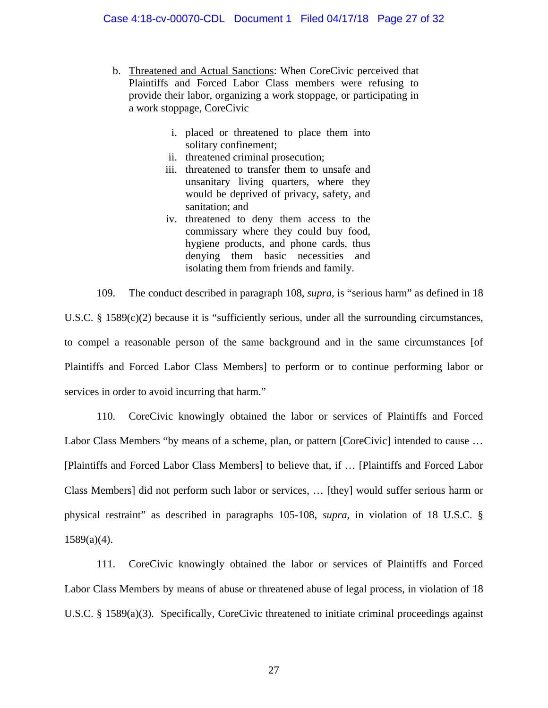- b. Threatened and Actual Sanctions: When CoreCivic perceived that Plaintiffs and Forced Labor Class members were refusing to provide their labor, organizing a work stoppage, or participating in a work stoppage, CoreCivic
	- i. placed or threatened to place them into solitary confinement;
	- ii. threatened criminal prosecution;
	- iii. threatened to transfer them to unsafe and unsanitary living quarters, where they would be deprived of privacy, safety, and sanitation; and
	- iv. threatened to deny them access to the commissary where they could buy food, hygiene products, and phone cards, thus denying them basic necessities and isolating them from friends and family.

109. The conduct described in paragraph 108, *supra*, is "serious harm" as defined in 18 U.S.C. § 1589(c)(2) because it is "sufficiently serious, under all the surrounding circumstances, to compel a reasonable person of the same background and in the same circumstances [of Plaintiffs and Forced Labor Class Members] to perform or to continue performing labor or services in order to avoid incurring that harm."

110. CoreCivic knowingly obtained the labor or services of Plaintiffs and Forced Labor Class Members "by means of a scheme, plan, or pattern [CoreCivic] intended to cause ... [Plaintiffs and Forced Labor Class Members] to believe that, if … [Plaintiffs and Forced Labor Class Members] did not perform such labor or services, … [they] would suffer serious harm or physical restraint" as described in paragraphs 105-108, *supra*, in violation of 18 U.S.C. §  $1589(a)(4)$ .

111. CoreCivic knowingly obtained the labor or services of Plaintiffs and Forced Labor Class Members by means of abuse or threatened abuse of legal process, in violation of 18 U.S.C. § 1589(a)(3). Specifically, CoreCivic threatened to initiate criminal proceedings against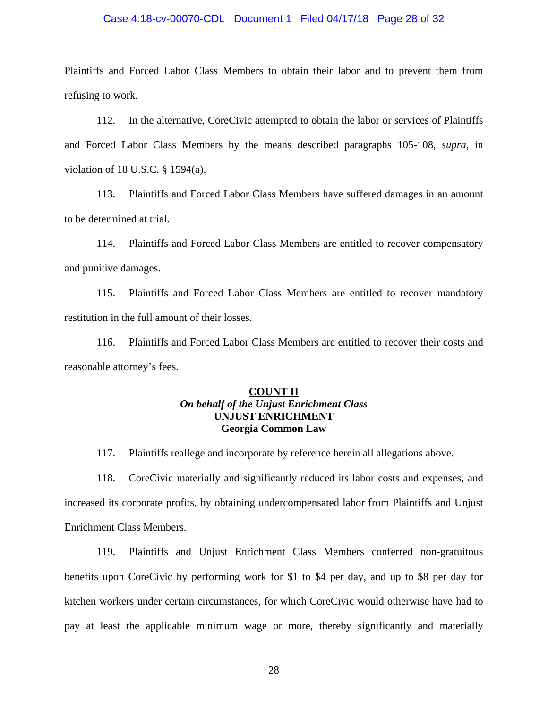#### Case 4:18-cv-00070-CDL Document 1 Filed 04/17/18 Page 28 of 32

Plaintiffs and Forced Labor Class Members to obtain their labor and to prevent them from refusing to work.

112. In the alternative, CoreCivic attempted to obtain the labor or services of Plaintiffs and Forced Labor Class Members by the means described paragraphs 105-108, *supra*, in violation of 18 U.S.C. § 1594(a).

113. Plaintiffs and Forced Labor Class Members have suffered damages in an amount to be determined at trial.

114. Plaintiffs and Forced Labor Class Members are entitled to recover compensatory and punitive damages.

115. Plaintiffs and Forced Labor Class Members are entitled to recover mandatory restitution in the full amount of their losses.

116. Plaintiffs and Forced Labor Class Members are entitled to recover their costs and reasonable attorney's fees.

# **COUNT II**  *On behalf of the Unjust Enrichment Class*  **UNJUST ENRICHMENT Georgia Common Law**

117. Plaintiffs reallege and incorporate by reference herein all allegations above.

118. CoreCivic materially and significantly reduced its labor costs and expenses, and increased its corporate profits, by obtaining undercompensated labor from Plaintiffs and Unjust Enrichment Class Members.

119. Plaintiffs and Unjust Enrichment Class Members conferred non-gratuitous benefits upon CoreCivic by performing work for \$1 to \$4 per day, and up to \$8 per day for kitchen workers under certain circumstances, for which CoreCivic would otherwise have had to pay at least the applicable minimum wage or more, thereby significantly and materially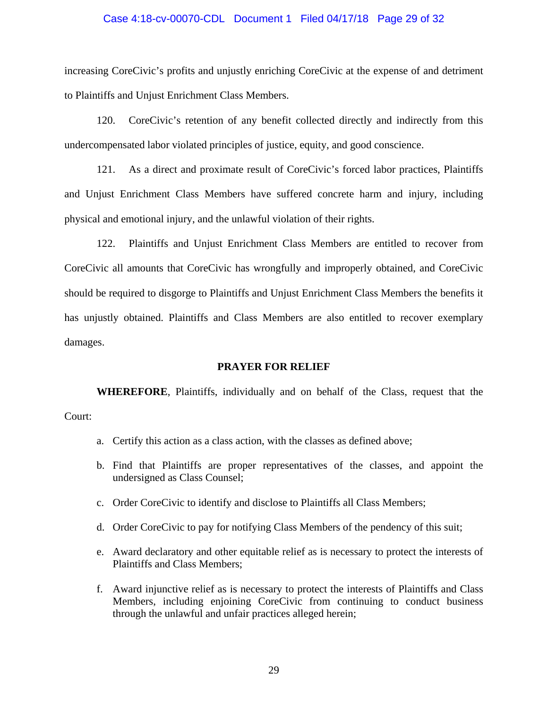#### Case 4:18-cv-00070-CDL Document 1 Filed 04/17/18 Page 29 of 32

increasing CoreCivic's profits and unjustly enriching CoreCivic at the expense of and detriment to Plaintiffs and Unjust Enrichment Class Members.

120. CoreCivic's retention of any benefit collected directly and indirectly from this undercompensated labor violated principles of justice, equity, and good conscience.

121. As a direct and proximate result of CoreCivic's forced labor practices, Plaintiffs and Unjust Enrichment Class Members have suffered concrete harm and injury, including physical and emotional injury, and the unlawful violation of their rights.

122. Plaintiffs and Unjust Enrichment Class Members are entitled to recover from CoreCivic all amounts that CoreCivic has wrongfully and improperly obtained, and CoreCivic should be required to disgorge to Plaintiffs and Unjust Enrichment Class Members the benefits it has unjustly obtained. Plaintiffs and Class Members are also entitled to recover exemplary damages.

#### **PRAYER FOR RELIEF**

**WHEREFORE**, Plaintiffs, individually and on behalf of the Class, request that the Court:

- a. Certify this action as a class action, with the classes as defined above;
- b. Find that Plaintiffs are proper representatives of the classes, and appoint the undersigned as Class Counsel;
- c. Order CoreCivic to identify and disclose to Plaintiffs all Class Members;
- d. Order CoreCivic to pay for notifying Class Members of the pendency of this suit;
- e. Award declaratory and other equitable relief as is necessary to protect the interests of Plaintiffs and Class Members;
- f. Award injunctive relief as is necessary to protect the interests of Plaintiffs and Class Members, including enjoining CoreCivic from continuing to conduct business through the unlawful and unfair practices alleged herein;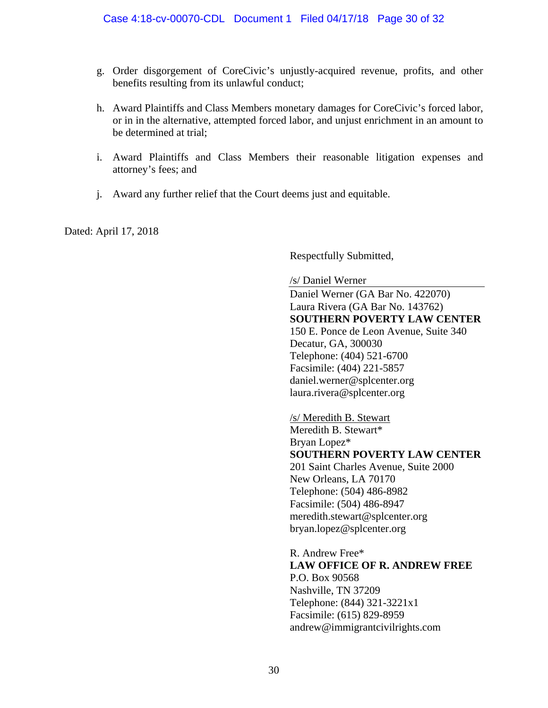- g. Order disgorgement of CoreCivic's unjustly-acquired revenue, profits, and other benefits resulting from its unlawful conduct;
- h. Award Plaintiffs and Class Members monetary damages for CoreCivic's forced labor, or in in the alternative, attempted forced labor, and unjust enrichment in an amount to be determined at trial;
- i. Award Plaintiffs and Class Members their reasonable litigation expenses and attorney's fees; and
- j. Award any further relief that the Court deems just and equitable.

Dated: April 17, 2018

Respectfully Submitted,

/s/ Daniel Werner

Daniel Werner (GA Bar No. 422070) Laura Rivera (GA Bar No. 143762) **SOUTHERN POVERTY LAW CENTER**  150 E. Ponce de Leon Avenue, Suite 340 Decatur, GA, 300030 Telephone: (404) 521-6700 Facsimile: (404) 221-5857 daniel.werner@splcenter.org laura.rivera@splcenter.org

/s/ Meredith B. Stewart Meredith B. Stewart\* Bryan Lopez\* **SOUTHERN POVERTY LAW CENTER**  201 Saint Charles Avenue, Suite 2000 New Orleans, LA 70170 Telephone: (504) 486-8982 Facsimile: (504) 486-8947 meredith.stewart@splcenter.org bryan.lopez@splcenter.org

R. Andrew Free\* **LAW OFFICE OF R. ANDREW FREE**  P.O. Box 90568 Nashville, TN 37209 Telephone: (844) 321-3221x1 Facsimile: (615) 829-8959 andrew@immigrantcivilrights.com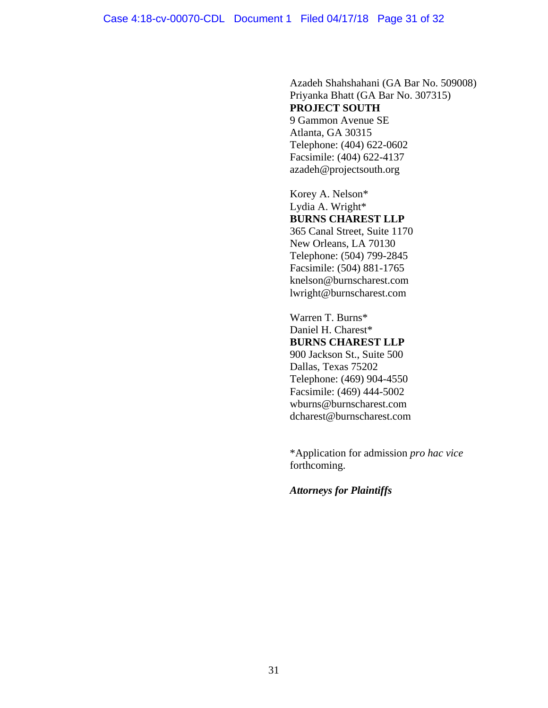Azadeh Shahshahani (GA Bar No. 509008) Priyanka Bhatt (GA Bar No. 307315) **PROJECT SOUTH**  9 Gammon Avenue SE Atlanta, GA 30315 Telephone: (404) 622-0602 Facsimile: (404) 622-4137 azadeh@projectsouth.org

 Korey A. Nelson\* Lydia A. Wright\* **BURNS CHAREST LLP**  365 Canal Street, Suite 1170 New Orleans, LA 70130 Telephone: (504) 799-2845 Facsimile: (504) 881-1765 knelson@burnscharest.com lwright@burnscharest.com

Warren T. Burns\* Daniel H. Charest\* **BURNS CHAREST LLP**  900 Jackson St., Suite 500 Dallas, Texas 75202 Telephone: (469) 904-4550 Facsimile: (469) 444-5002 wburns@burnscharest.com dcharest@burnscharest.com

 \*Application for admission *pro hac vice*  forthcoming.

*Attorneys for Plaintiffs*